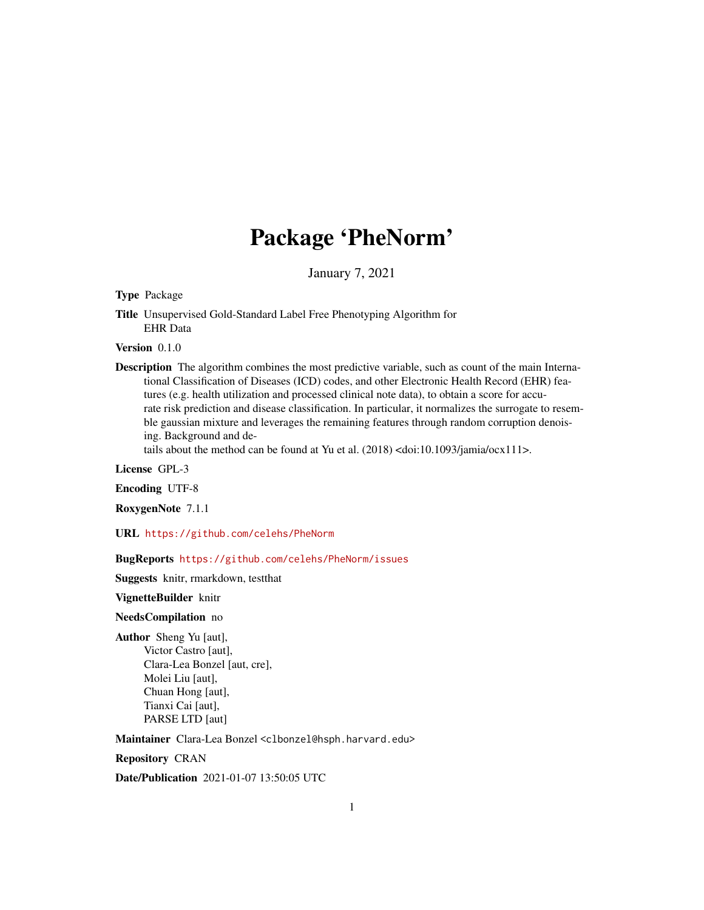## Package 'PheNorm'

January 7, 2021

Type Package

Title Unsupervised Gold-Standard Label Free Phenotyping Algorithm for EHR Data

Version 0.1.0

Description The algorithm combines the most predictive variable, such as count of the main International Classification of Diseases (ICD) codes, and other Electronic Health Record (EHR) features (e.g. health utilization and processed clinical note data), to obtain a score for accurate risk prediction and disease classification. In particular, it normalizes the surrogate to resemble gaussian mixture and leverages the remaining features through random corruption denoising. Background and de-

tails about the method can be found at Yu et al. (2018) <doi:10.1093/jamia/ocx111>.

License GPL-3

Encoding UTF-8

RoxygenNote 7.1.1

URL <https://github.com/celehs/PheNorm>

BugReports <https://github.com/celehs/PheNorm/issues>

Suggests knitr, rmarkdown, testthat

VignetteBuilder knitr

NeedsCompilation no

Author Sheng Yu [aut], Victor Castro [aut], Clara-Lea Bonzel [aut, cre], Molei Liu [aut], Chuan Hong [aut], Tianxi Cai [aut], PARSE LTD [aut]

Maintainer Clara-Lea Bonzel <clbonzel@hsph.harvard.edu>

Repository CRAN

Date/Publication 2021-01-07 13:50:05 UTC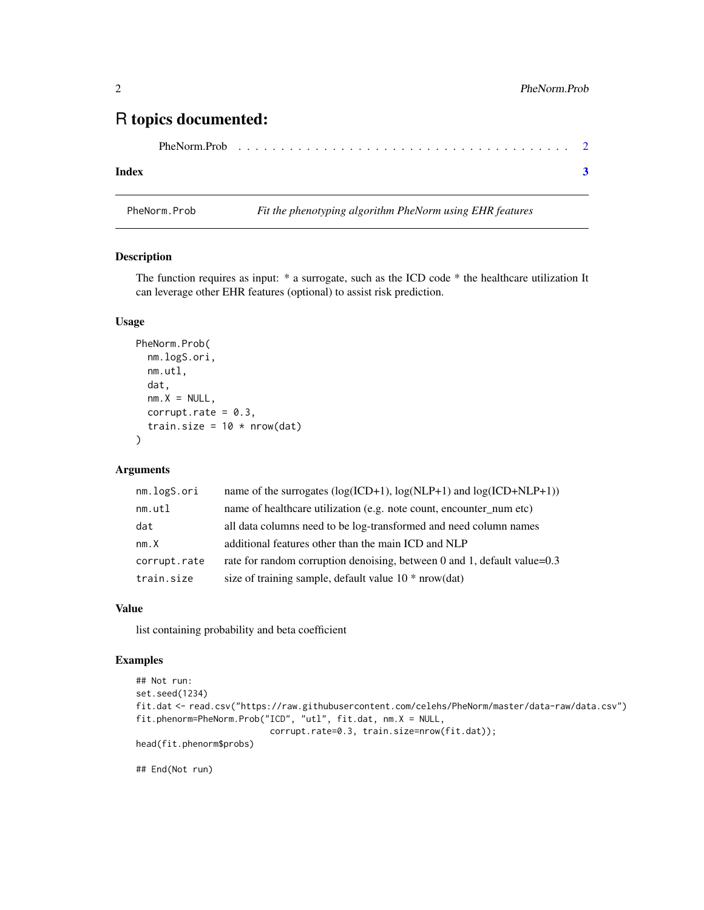### <span id="page-1-0"></span>R topics documented:

#### **Index** [3](#page-2-0)

PheNorm.Prob *Fit the phenotyping algorithm PheNorm using EHR features*

#### Description

The function requires as input: \* a surrogate, such as the ICD code \* the healthcare utilization It can leverage other EHR features (optional) to assist risk prediction.

#### Usage

```
PheNorm.Prob(
  nm.logS.ori,
 nm.utl,
  dat,
  nm.X = NULL,corrupt.rate = 0.3,
  train.size = 10 * nrow(data)\lambda
```
#### Arguments

| name of healthcare utilization (e.g. note count, encounter_num etc)<br>nm.util<br>dat<br>all data columns need to be log-transformed and need column names<br>additional features other than the main ICD and NLP<br>nm.X<br>corrupt.rate<br>size of training sample, default value $10 * nrow(data)$<br>train.size | nm.logS.ori | name of the surrogates ( $log(ICD+1)$ , $log(NLP+1)$ ) and $log(ICD+NLP+1)$ ) |
|---------------------------------------------------------------------------------------------------------------------------------------------------------------------------------------------------------------------------------------------------------------------------------------------------------------------|-------------|-------------------------------------------------------------------------------|
|                                                                                                                                                                                                                                                                                                                     |             |                                                                               |
|                                                                                                                                                                                                                                                                                                                     |             |                                                                               |
|                                                                                                                                                                                                                                                                                                                     |             |                                                                               |
|                                                                                                                                                                                                                                                                                                                     |             | rate for random corruption denoising, between 0 and 1, default value=0.3      |
|                                                                                                                                                                                                                                                                                                                     |             |                                                                               |

#### Value

list containing probability and beta coefficient

#### Examples

```
## Not run:
set.seed(1234)
fit.dat <- read.csv("https://raw.githubusercontent.com/celehs/PheNorm/master/data-raw/data.csv")
fit.phenorm=PheNorm.Prob("ICD", "utl", fit.dat, nm.X = NULL,
                          corrupt.rate=0.3, train.size=nrow(fit.dat));
head(fit.phenorm$probs)
```
## End(Not run)